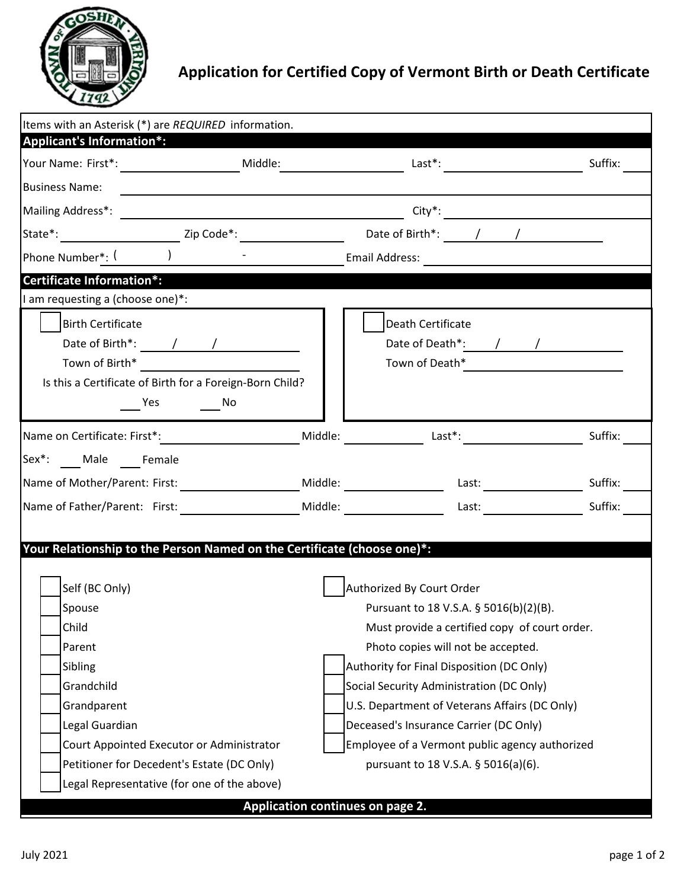

## **Application for Certified Copy of Vermont Birth or Death Certificate**

| Items with an Asterisk (*) are REQUIRED information.<br><b>Applicant's Information*:</b>                                                                                                                                                                                                                                                                                                                                                                                                                                           |  |                                                                                                                |         |  |
|------------------------------------------------------------------------------------------------------------------------------------------------------------------------------------------------------------------------------------------------------------------------------------------------------------------------------------------------------------------------------------------------------------------------------------------------------------------------------------------------------------------------------------|--|----------------------------------------------------------------------------------------------------------------|---------|--|
|                                                                                                                                                                                                                                                                                                                                                                                                                                                                                                                                    |  |                                                                                                                | Suffix: |  |
| <b>Business Name:</b>                                                                                                                                                                                                                                                                                                                                                                                                                                                                                                              |  |                                                                                                                |         |  |
|                                                                                                                                                                                                                                                                                                                                                                                                                                                                                                                                    |  |                                                                                                                |         |  |
|                                                                                                                                                                                                                                                                                                                                                                                                                                                                                                                                    |  | State*: _________________________Zip Code*: ______________________________Date of Birth*: ______/ ____________ |         |  |
| Phone Number*: ( ) and ( )                                                                                                                                                                                                                                                                                                                                                                                                                                                                                                         |  |                                                                                                                |         |  |
| <b>Certificate Information*:</b>                                                                                                                                                                                                                                                                                                                                                                                                                                                                                                   |  |                                                                                                                |         |  |
| I am requesting a (choose one)*:                                                                                                                                                                                                                                                                                                                                                                                                                                                                                                   |  |                                                                                                                |         |  |
| <b>Birth Certificate</b><br>Is this a Certificate of Birth for a Foreign-Born Child?<br><b>Solution</b> No<br><b>Pres</b>                                                                                                                                                                                                                                                                                                                                                                                                          |  | Death Certificate<br>Town of Death* <u>_________________________</u>                                           |         |  |
|                                                                                                                                                                                                                                                                                                                                                                                                                                                                                                                                    |  | Name on Certificate: First*: The Middle: The Middle: The Middle: Last*:                                        | Suffix: |  |
| Sex*: Male Female                                                                                                                                                                                                                                                                                                                                                                                                                                                                                                                  |  |                                                                                                                |         |  |
|                                                                                                                                                                                                                                                                                                                                                                                                                                                                                                                                    |  | Name of Mother/Parent: First: Niddle: Niddle: Last: Last: Last: Suffix:                                        |         |  |
|                                                                                                                                                                                                                                                                                                                                                                                                                                                                                                                                    |  | Name of Father/Parent: First: 1997 Middle: 1998 Middle: 1998 Last: 1998 Last: 1998 Suffix:                     |         |  |
| Your Relationship to the Person Named on the Certificate (choose one)*:<br>Self (BC Only)<br>Authorized By Court Order<br>Spouse<br>Pursuant to 18 V.S.A. § 5016(b)(2)(B).<br>Child<br>Must provide a certified copy of court order.<br>Parent<br>Photo copies will not be accepted.<br>Authority for Final Disposition (DC Only)<br>Sibling<br>Grandchild<br>Social Security Administration (DC Only)<br>U.S. Department of Veterans Affairs (DC Only)<br>Grandparent<br>Legal Guardian<br>Deceased's Insurance Carrier (DC Only) |  |                                                                                                                |         |  |
| Court Appointed Executor or Administrator                                                                                                                                                                                                                                                                                                                                                                                                                                                                                          |  | Employee of a Vermont public agency authorized                                                                 |         |  |
| Petitioner for Decedent's Estate (DC Only)                                                                                                                                                                                                                                                                                                                                                                                                                                                                                         |  | pursuant to 18 V.S.A. § 5016(a)(6).                                                                            |         |  |
| Legal Representative (for one of the above)<br>Application continues on page 2.                                                                                                                                                                                                                                                                                                                                                                                                                                                    |  |                                                                                                                |         |  |